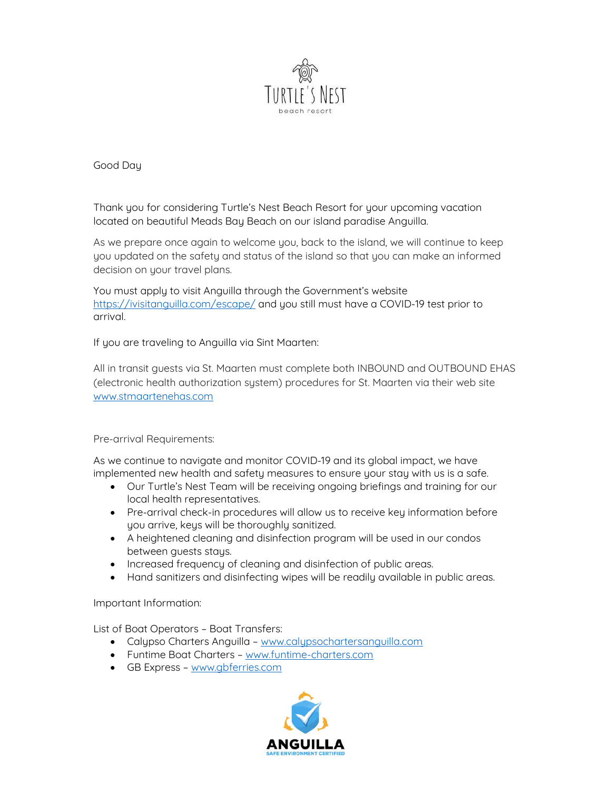

Good Day

Thank you for considering Turtle's Nest Beach Resort for your upcoming vacation located on beautiful Meads Bay Beach on our island paradise Anguilla.

As we prepare once again to welcome you, back to the island, we will continue to keep you updated on the safety and status of the island so that you can make an informed decision on your travel plans.

You must apply to visit Anguilla through the Government's website https://ivisitanguilla.com/escape/ and you still must have a COVID-19 test prior to arrival.

If you are traveling to Anguilla via Sint Maarten:

All in transit guests via St. Maarten must complete both INBOUND and OUTBOUND EHAS (electronic health authorization system) procedures for St. Maarten via their web site www.stmaartenehas.com

## Pre-arrival Requirements:

As we continue to navigate and monitor COVID-19 and its global impact, we have implemented new health and safety measures to ensure your stay with us is a safe.

- Our Turtle's Nest Team will be receiving ongoing briefings and training for our local health representatives.
- Pre-arrival check-in procedures will allow us to receive key information before you arrive, keys will be thoroughly sanitized.
- A heightened cleaning and disinfection program will be used in our condos between guests stays.
- Increased frequency of cleaning and disinfection of public areas.
- Hand sanitizers and disinfecting wipes will be readily available in public areas.

## Important Information:

List of Boat Operators – Boat Transfers:

- Calypso Charters Anguilla www.calypsochartersanguilla.com
- Funtime Boat Charters www.funtime-charters.com
- GB Express www.gbferries.com

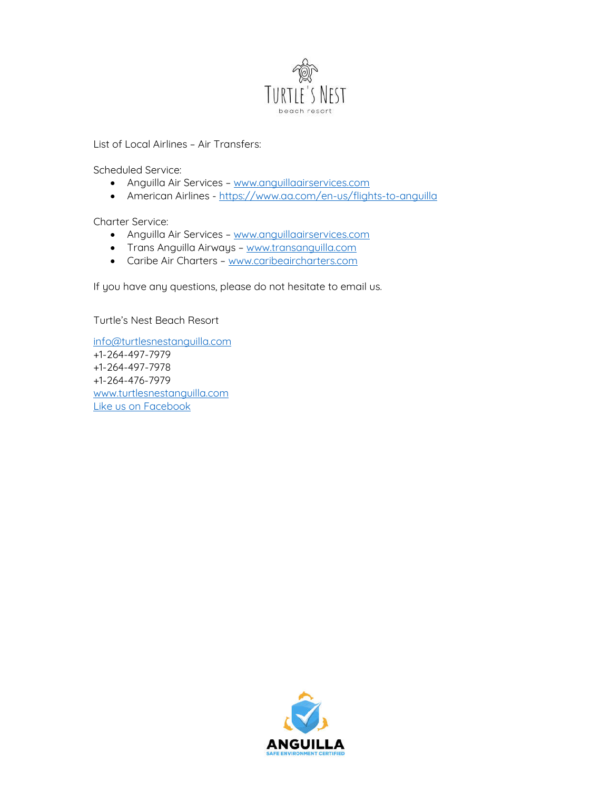

List of Local Airlines – Air Transfers:

Scheduled Service:

- Anguilla Air Services www.anguillaairservices.com
- American Airlines https://www.aa.com/en-us/flights-to-anguilla

Charter Service:

- Anguilla Air Services www.anguillaairservices.com
- Trans Anguilla Airways www.transanguilla.com
- Caribe Air Charters www.caribeaircharters.com

If you have any questions, please do not hesitate to email us.

Turtle's Nest Beach Resort

info@turtlesnestanguilla.com +1-264-497-7979 +1-264-497-7978 +1-264-476-7979 www.turtlesnestanguilla.com Like us on Facebook